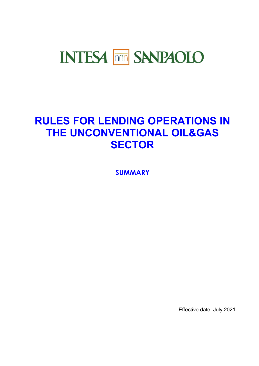# **INTESA MM SANPAOLO**

## **RULES FOR LENDING OPERATIONS IN THE UNCONVENTIONAL OIL&GAS SECTOR**

**SUMMARY**

Effective date: July 2021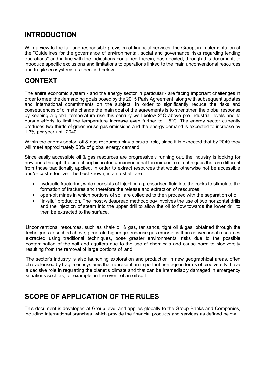## **INTRODUCTION**

With a view to the fair and responsible provision of financial services, the Group, in implementation of the "Guidelines for the governance of environmental, social and governance risks regarding lending operations" and in line with the indications contained therein, has decided, through this document, to introduce specific exclusions and limitations to operations linked to the main unconventional resources and fragile ecosystems as specified below.

## **CONTEXT**

The entire economic system - and the energy sector in particular - are facing important challenges in order to meet the demanding goals posed by the 2015 Paris Agreement, along with subsequent updates and international commitments on the subject. In order to significantly reduce the risks and consequences of climate change the main goal of the agreements is to strengthen the global response by keeping a global temperature rise this century well below 2°C above pre-industrial levels and to pursue efforts to limit the temperature increase even further to 1.5°C. The energy sector currently produces two thirds of greenhouse gas emissions and the energy demand is expected to increase by 1.3% per year until 2040.

Within the energy sector, oil & gas resources play a crucial role, since it is expected that by 2040 they will meet approximately 53% of global energy demand.

Since easily accessible oil & gas resources are progressively running out, the industry is looking for new ones through the use of sophisticated unconventional techniques, i.e. techniques that are different from those traditionally applied, in order to extract resources that would otherwise not be accessible and/or cost-effective. The best known, in a nutshell, are:

- hydraulic fracturing, which consists of injecting a pressurised fluid into the rocks to stimulate the formation of fractures and therefore the release and extraction of resources;
- open-pit mines in which portions of soil are collected to then proceed with the separation of oil;
- "in-situ" production. The most widespread methodology involves the use of two horizontal drills and the injection of steam into the upper drill to allow the oil to flow towards the lower drill to then be extracted to the surface.

Unconventional resources, such as shale oil & gas, tar sands, tight oil & gas, obtained through the techniques described above, generate higher greenhouse gas emissions than conventional resources extracted using traditional techniques, pose greater environmental risks due to the possible contamination of the soil and aquifers due to the use of chemicals and cause harm to biodiversity resulting from the removal of large portions of land.

The sector's industry is also launching exploration and production in new geographical areas, often characterised by fragile ecosystems that represent an important heritage in terms of biodiversity, have a decisive role in regulating the planet's climate and that can be irremediably damaged in emergency situations such as, for example, in the event of an oil spill.

## **SCOPE OF APPLICATION OF THE RULES**

This document is developed at Group level and applies globally to the Group Banks and Companies, including international branches, which provide the financial products and services as defined below.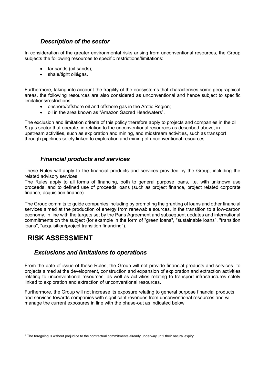#### *Description of the sector*

In consideration of the greater environmental risks arising from unconventional resources, the Group subjects the following resources to specific restrictions/limitations:

- tar sands (oil sands);
- shale/tight oil&gas.

Furthermore, taking into account the fragility of the ecosystems that characterises some geographical areas, the following resources are also considered as unconventional and hence subject to specific limitations/restrictions:

- onshore/offshore oil and offshore gas in the Arctic Region;
- oil in the area known as "Amazon Sacred Headwaters".

The exclusion and limitation criteria of this policy therefore apply to projects and companies in the oil & gas sector that operate, in relation to the unconventional resources as described above, in upstream activities, such as exploration and mining, and midstream activities, such as transport through pipelines solely linked to exploration and mining of unconventional resources.

#### *Financial products and services*

These Rules will apply to the financial products and services provided by the Group, including the related advisory services.

The Rules apply to all forms of financing, both to general purpose loans, i.e. with unknown use proceeds, and to defined use of proceeds loans (such as project finance, project related corporate finance, acquisition finance).

The Group commits to guide companies including by promoting the granting of loans and other financial services aimed at the production of energy from renewable sources, in the transition to a low-carbon economy, in line with the targets set by the Paris Agreement and subsequent updates and international commitments on the subject (for example in the form of "green loans", "sustainable loans", "transition loans", "acquisition/project transition financing").

### **RISK ASSESSMENT**

<u>.</u>

#### *Exclusions and limitations to operations*

From the date of issue of these Rules, the Group will not provide financial products and services<sup>1</sup> to projects aimed at the development, construction and expansion of exploration and extraction activities relating to unconventional resources, as well as activities relating to transport infrastructures solely linked to exploration and extraction of unconventional resources.

Furthermore, the Group will not increase its exposure relating to general purpose financial products and services towards companies with significant revenues from unconventional resources and will manage the current exposures in line with the phase-out as indicated below.

 $1$  The foregoing is without prejudice to the contractual commitments already underway until their natural expiry